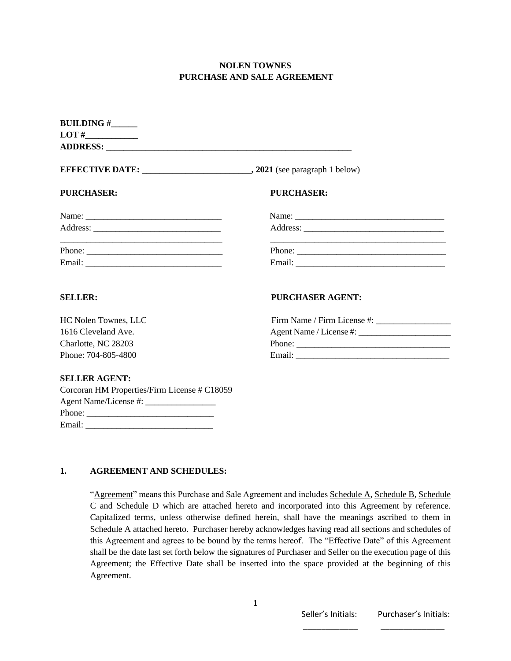### **NOLEN TOWNES PURCHASE AND SALE AGREEMENT**

| <b>BUILDING #</b>                                                                                                      |                         |
|------------------------------------------------------------------------------------------------------------------------|-------------------------|
|                                                                                                                        |                         |
| <b>PURCHASER:</b>                                                                                                      | PURCHASER:              |
|                                                                                                                        |                         |
|                                                                                                                        |                         |
| <u> 1989 - Johann John Stoff, deutscher Stoffen und der Stoffen und der Stoffen und der Stoffen und der Stoffen un</u> |                         |
|                                                                                                                        |                         |
| <b>SELLER:</b>                                                                                                         | <b>PURCHASER AGENT:</b> |
| HC Nolen Townes, LLC                                                                                                   |                         |
| 1616 Cleveland Ave.                                                                                                    |                         |
| Charlotte, NC 28203                                                                                                    | Phone:                  |
| Phone: 704-805-4800                                                                                                    |                         |
| <b>SELLER AGENT:</b>                                                                                                   |                         |
| Corcoran HM Properties/Firm License # C18059                                                                           |                         |
|                                                                                                                        |                         |

#### **1. AGREEMENT AND SCHEDULES:**

Phone: \_\_\_\_\_\_\_\_\_\_\_\_\_\_\_\_\_\_\_\_\_\_\_\_\_\_\_\_\_ Email:

> "Agreement" means this Purchase and Sale Agreement and includes Schedule A, Schedule B, Schedule C and Schedule D which are attached hereto and incorporated into this Agreement by reference. Capitalized terms, unless otherwise defined herein, shall have the meanings ascribed to them in Schedule A attached hereto. Purchaser hereby acknowledges having read all sections and schedules of this Agreement and agrees to be bound by the terms hereof. The "Effective Date" of this Agreement shall be the date last set forth below the signatures of Purchaser and Seller on the execution page of this Agreement; the Effective Date shall be inserted into the space provided at the beginning of this Agreement.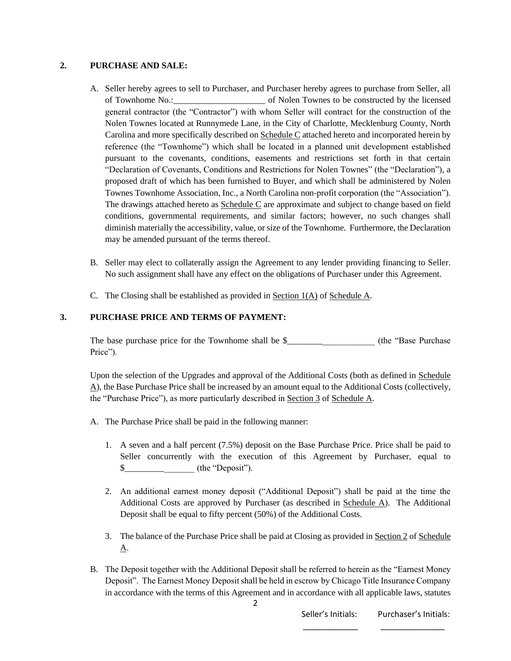#### **2. PURCHASE AND SALE:**

- A. Seller hereby agrees to sell to Purchaser, and Purchaser hereby agrees to purchase from Seller, all of Townhome No.:\_\_\_\_\_\_\_\_\_\_\_\_\_\_\_\_\_\_\_\_\_ of Nolen Townes to be constructed by the licensed general contractor (the "Contractor") with whom Seller will contract for the construction of the Nolen Townes located at Runnymede Lane, in the City of Charlotte, Mecklenburg County, North Carolina and more specifically described on Schedule C attached hereto and incorporated herein by reference (the "Townhome") which shall be located in a planned unit development established pursuant to the covenants, conditions, easements and restrictions set forth in that certain "Declaration of Covenants, Conditions and Restrictions for Nolen Townes" (the "Declaration"), a proposed draft of which has been furnished to Buyer, and which shall be administered by Nolen Townes Townhome Association, Inc., a North Carolina non-profit corporation (the "Association"). The drawings attached hereto as Schedule C are approximate and subject to change based on field conditions, governmental requirements, and similar factors; however, no such changes shall diminish materially the accessibility, value, or size of the Townhome. Furthermore, the Declaration may be amended pursuant of the terms thereof.
- B. Seller may elect to collaterally assign the Agreement to any lender providing financing to Seller. No such assignment shall have any effect on the obligations of Purchaser under this Agreement.
- C. The Closing shall be established as provided in Section 1(A) of Schedule A.

### **3. PURCHASE PRICE AND TERMS OF PAYMENT:**

The base purchase price for the Townhome shall be  $\frac{1}{2}$  (the "Base Purchase Price").

Upon the selection of the Upgrades and approval of the Additional Costs (both as defined in Schedule A), the Base Purchase Price shall be increased by an amount equal to the Additional Costs (collectively, the "Purchase Price"), as more particularly described in Section 3 of Schedule A.

- A. The Purchase Price shall be paid in the following manner:
	- 1. A seven and a half percent (7.5%) deposit on the Base Purchase Price. Price shall be paid to Seller concurrently with the execution of this Agreement by Purchaser, equal to \$\_\_\_\_\_\_\_\_\_\_\_\_\_\_\_\_ (the "Deposit").
	- 2. An additional earnest money deposit ("Additional Deposit") shall be paid at the time the Additional Costs are approved by Purchaser (as described in Schedule A). The Additional Deposit shall be equal to fifty percent (50%) of the Additional Costs.
	- 3. The balance of the Purchase Price shall be paid at Closing as provided in Section 2 of Schedule A.
- B. The Deposit together with the Additional Deposit shall be referred to herein as the "Earnest Money Deposit". The Earnest Money Deposit shall be held in escrow by Chicago Title Insurance Company in accordance with the terms of this Agreement and in accordance with all applicable laws, statutes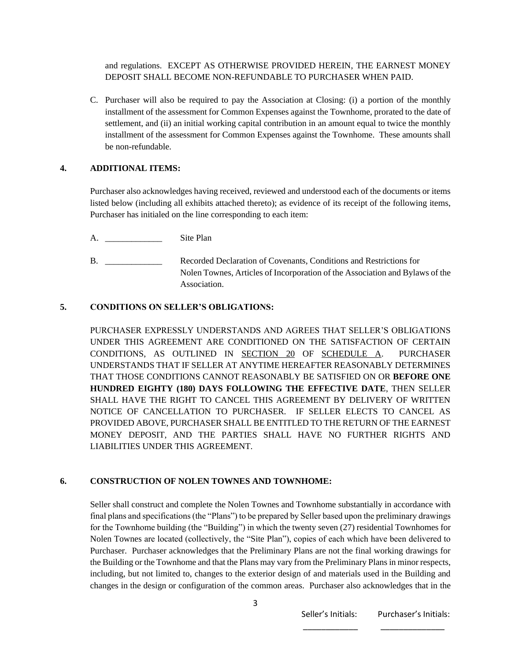and regulations. EXCEPT AS OTHERWISE PROVIDED HEREIN, THE EARNEST MONEY DEPOSIT SHALL BECOME NON-REFUNDABLE TO PURCHASER WHEN PAID.

C. Purchaser will also be required to pay the Association at Closing: (i) a portion of the monthly installment of the assessment for Common Expenses against the Townhome, prorated to the date of settlement, and (ii) an initial working capital contribution in an amount equal to twice the monthly installment of the assessment for Common Expenses against the Townhome. These amounts shall be non-refundable.

#### **4. ADDITIONAL ITEMS:**

Purchaser also acknowledges having received, reviewed and understood each of the documents or items listed below (including all exhibits attached thereto); as evidence of its receipt of the following items, Purchaser has initialed on the line corresponding to each item:

- A. \_\_\_\_\_\_\_\_\_\_\_\_\_ Site Plan
- B. \_\_\_\_\_\_\_\_\_\_\_\_\_\_\_ Recorded Declaration of Covenants, Conditions and Restrictions for Nolen Townes, Articles of Incorporation of the Association and Bylaws of the Association.

#### **5. CONDITIONS ON SELLER'S OBLIGATIONS:**

PURCHASER EXPRESSLY UNDERSTANDS AND AGREES THAT SELLER'S OBLIGATIONS UNDER THIS AGREEMENT ARE CONDITIONED ON THE SATISFACTION OF CERTAIN CONDITIONS, AS OUTLINED IN SECTION 20 OF SCHEDULE A. PURCHASER UNDERSTANDS THAT IF SELLER AT ANYTIME HEREAFTER REASONABLY DETERMINES THAT THOSE CONDITIONS CANNOT REASONABLY BE SATISFIED ON OR **BEFORE ONE HUNDRED EIGHTY (180) DAYS FOLLOWING THE EFFECTIVE DATE**, THEN SELLER SHALL HAVE THE RIGHT TO CANCEL THIS AGREEMENT BY DELIVERY OF WRITTEN NOTICE OF CANCELLATION TO PURCHASER. IF SELLER ELECTS TO CANCEL AS PROVIDED ABOVE, PURCHASER SHALL BE ENTITLED TO THE RETURN OF THE EARNEST MONEY DEPOSIT, AND THE PARTIES SHALL HAVE NO FURTHER RIGHTS AND LIABILITIES UNDER THIS AGREEMENT.

#### **6. CONSTRUCTION OF NOLEN TOWNES AND TOWNHOME:**

Seller shall construct and complete the Nolen Townes and Townhome substantially in accordance with final plans and specifications (the "Plans") to be prepared by Seller based upon the preliminary drawings for the Townhome building (the "Building") in which the twenty seven (27) residential Townhomes for Nolen Townes are located (collectively, the "Site Plan"), copies of each which have been delivered to Purchaser. Purchaser acknowledges that the Preliminary Plans are not the final working drawings for the Building or the Townhome and that the Plans may vary from the Preliminary Plans in minor respects, including, but not limited to, changes to the exterior design of and materials used in the Building and changes in the design or configuration of the common areas. Purchaser also acknowledges that in the

 $\overline{\phantom{a}}$  , and the contract of the contract of the contract of the contract of the contract of the contract of the contract of the contract of the contract of the contract of the contract of the contract of the contrac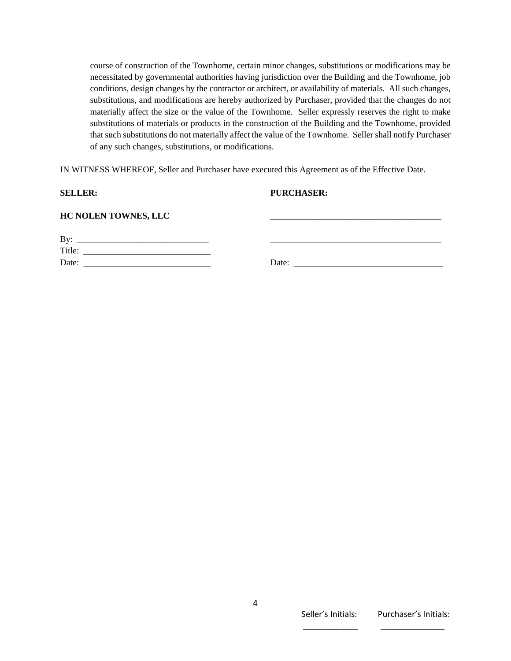course of construction of the Townhome, certain minor changes, substitutions or modifications may be necessitated by governmental authorities having jurisdiction over the Building and the Townhome, job conditions, design changes by the contractor or architect, or availability of materials. All such changes, substitutions, and modifications are hereby authorized by Purchaser, provided that the changes do not materially affect the size or the value of the Townhome. Seller expressly reserves the right to make substitutions of materials or products in the construction of the Building and the Townhome, provided that such substitutions do not materially affect the value of the Townhome. Seller shall notify Purchaser of any such changes, substitutions, or modifications.

IN WITNESS WHEREOF, Seller and Purchaser have executed this Agreement as of the Effective Date.

#### **SELLER: PURCHASER:**

| HC NOLEN TOWNES, LLC |  |
|----------------------|--|
|                      |  |

| By:    |       |  |
|--------|-------|--|
| Title: |       |  |
| Date:  | Date: |  |

Seller's Initials: Purchaser's Initials: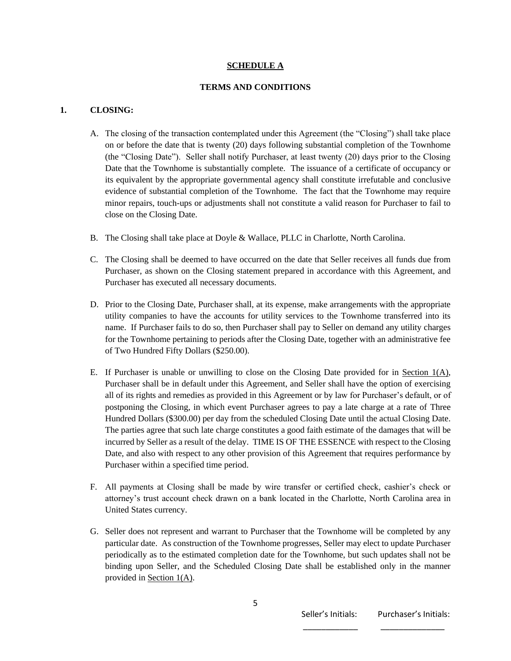#### **SCHEDULE A**

#### **TERMS AND CONDITIONS**

#### **1. CLOSING:**

- A. The closing of the transaction contemplated under this Agreement (the "Closing") shall take place on or before the date that is twenty (20) days following substantial completion of the Townhome (the "Closing Date"). Seller shall notify Purchaser, at least twenty (20) days prior to the Closing Date that the Townhome is substantially complete. The issuance of a certificate of occupancy or its equivalent by the appropriate governmental agency shall constitute irrefutable and conclusive evidence of substantial completion of the Townhome. The fact that the Townhome may require minor repairs, touch-ups or adjustments shall not constitute a valid reason for Purchaser to fail to close on the Closing Date.
- B. The Closing shall take place at Doyle & Wallace, PLLC in Charlotte, North Carolina.
- C. The Closing shall be deemed to have occurred on the date that Seller receives all funds due from Purchaser, as shown on the Closing statement prepared in accordance with this Agreement, and Purchaser has executed all necessary documents.
- D. Prior to the Closing Date, Purchaser shall, at its expense, make arrangements with the appropriate utility companies to have the accounts for utility services to the Townhome transferred into its name. If Purchaser fails to do so, then Purchaser shall pay to Seller on demand any utility charges for the Townhome pertaining to periods after the Closing Date, together with an administrative fee of Two Hundred Fifty Dollars (\$250.00).
- E. If Purchaser is unable or unwilling to close on the Closing Date provided for in Section  $1(A)$ , Purchaser shall be in default under this Agreement, and Seller shall have the option of exercising all of its rights and remedies as provided in this Agreement or by law for Purchaser's default, or of postponing the Closing, in which event Purchaser agrees to pay a late charge at a rate of Three Hundred Dollars (\$300.00) per day from the scheduled Closing Date until the actual Closing Date. The parties agree that such late charge constitutes a good faith estimate of the damages that will be incurred by Seller as a result of the delay. TIME IS OF THE ESSENCE with respect to the Closing Date, and also with respect to any other provision of this Agreement that requires performance by Purchaser within a specified time period.
- F. All payments at Closing shall be made by wire transfer or certified check, cashier's check or attorney's trust account check drawn on a bank located in the Charlotte, North Carolina area in United States currency.
- G. Seller does not represent and warrant to Purchaser that the Townhome will be completed by any particular date. As construction of the Townhome progresses, Seller may elect to update Purchaser periodically as to the estimated completion date for the Townhome, but such updates shall not be binding upon Seller, and the Scheduled Closing Date shall be established only in the manner provided in Section 1(A).

 $\overline{\phantom{a}}$  , and the contract of the contract of the contract of the contract of the contract of the contract of the contract of the contract of the contract of the contract of the contract of the contract of the contrac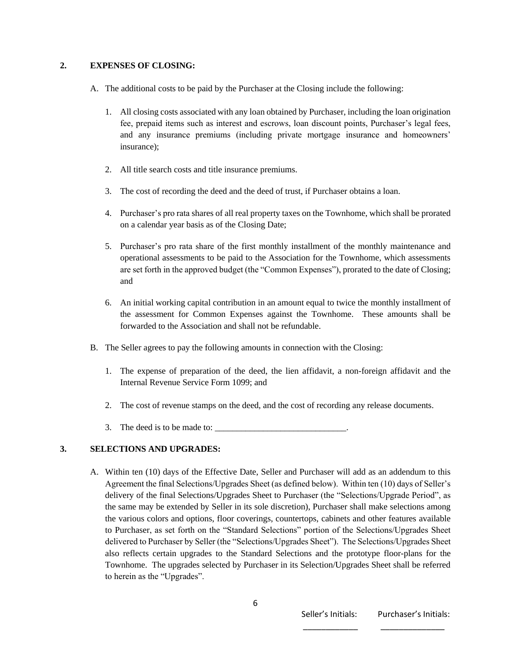#### **2. EXPENSES OF CLOSING:**

- A. The additional costs to be paid by the Purchaser at the Closing include the following:
	- 1. All closing costs associated with any loan obtained by Purchaser, including the loan origination fee, prepaid items such as interest and escrows, loan discount points, Purchaser's legal fees, and any insurance premiums (including private mortgage insurance and homeowners' insurance);
	- 2. All title search costs and title insurance premiums.
	- 3. The cost of recording the deed and the deed of trust, if Purchaser obtains a loan.
	- 4. Purchaser's pro rata shares of all real property taxes on the Townhome, which shall be prorated on a calendar year basis as of the Closing Date;
	- 5. Purchaser's pro rata share of the first monthly installment of the monthly maintenance and operational assessments to be paid to the Association for the Townhome, which assessments are set forth in the approved budget (the "Common Expenses"), prorated to the date of Closing; and
	- 6. An initial working capital contribution in an amount equal to twice the monthly installment of the assessment for Common Expenses against the Townhome. These amounts shall be forwarded to the Association and shall not be refundable.
- B. The Seller agrees to pay the following amounts in connection with the Closing:
	- 1. The expense of preparation of the deed, the lien affidavit, a non-foreign affidavit and the Internal Revenue Service Form 1099; and
	- 2. The cost of revenue stamps on the deed, and the cost of recording any release documents.
	- 3. The deed is to be made to:

#### **3. SELECTIONS AND UPGRADES:**

A. Within ten (10) days of the Effective Date, Seller and Purchaser will add as an addendum to this Agreement the final Selections/Upgrades Sheet (as defined below). Within ten (10) days of Seller's delivery of the final Selections/Upgrades Sheet to Purchaser (the "Selections/Upgrade Period", as the same may be extended by Seller in its sole discretion), Purchaser shall make selections among the various colors and options, floor coverings, countertops, cabinets and other features available to Purchaser, as set forth on the "Standard Selections" portion of the Selections/Upgrades Sheet delivered to Purchaser by Seller (the "Selections/Upgrades Sheet"). The Selections/Upgrades Sheet also reflects certain upgrades to the Standard Selections and the prototype floor-plans for the Townhome. The upgrades selected by Purchaser in its Selection/Upgrades Sheet shall be referred to herein as the "Upgrades".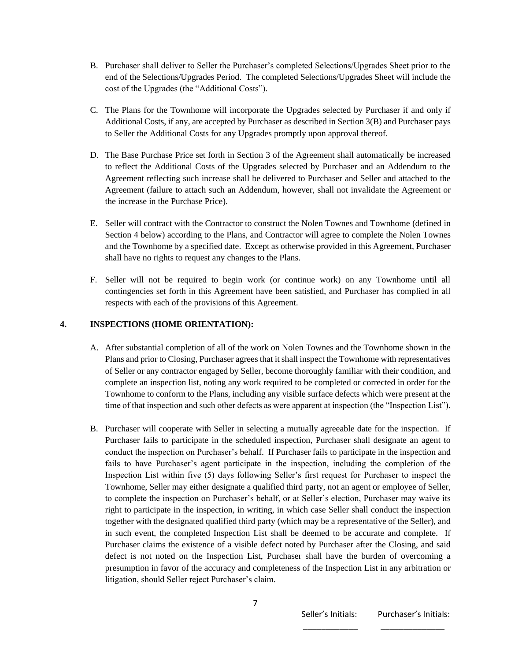- B. Purchaser shall deliver to Seller the Purchaser's completed Selections/Upgrades Sheet prior to the end of the Selections/Upgrades Period. The completed Selections/Upgrades Sheet will include the cost of the Upgrades (the "Additional Costs").
- C. The Plans for the Townhome will incorporate the Upgrades selected by Purchaser if and only if Additional Costs, if any, are accepted by Purchaser as described in Section 3(B) and Purchaser pays to Seller the Additional Costs for any Upgrades promptly upon approval thereof.
- D. The Base Purchase Price set forth in Section 3 of the Agreement shall automatically be increased to reflect the Additional Costs of the Upgrades selected by Purchaser and an Addendum to the Agreement reflecting such increase shall be delivered to Purchaser and Seller and attached to the Agreement (failure to attach such an Addendum, however, shall not invalidate the Agreement or the increase in the Purchase Price).
- E. Seller will contract with the Contractor to construct the Nolen Townes and Townhome (defined in Section 4 below) according to the Plans, and Contractor will agree to complete the Nolen Townes and the Townhome by a specified date. Except as otherwise provided in this Agreement, Purchaser shall have no rights to request any changes to the Plans.
- F. Seller will not be required to begin work (or continue work) on any Townhome until all contingencies set forth in this Agreement have been satisfied, and Purchaser has complied in all respects with each of the provisions of this Agreement.

#### **4. INSPECTIONS (HOME ORIENTATION):**

- A. After substantial completion of all of the work on Nolen Townes and the Townhome shown in the Plans and prior to Closing, Purchaser agrees that it shall inspect the Townhome with representatives of Seller or any contractor engaged by Seller, become thoroughly familiar with their condition, and complete an inspection list, noting any work required to be completed or corrected in order for the Townhome to conform to the Plans, including any visible surface defects which were present at the time of that inspection and such other defects as were apparent at inspection (the "Inspection List").
- B. Purchaser will cooperate with Seller in selecting a mutually agreeable date for the inspection. If Purchaser fails to participate in the scheduled inspection, Purchaser shall designate an agent to conduct the inspection on Purchaser's behalf. If Purchaser fails to participate in the inspection and fails to have Purchaser's agent participate in the inspection, including the completion of the Inspection List within five (5) days following Seller's first request for Purchaser to inspect the Townhome, Seller may either designate a qualified third party, not an agent or employee of Seller, to complete the inspection on Purchaser's behalf, or at Seller's election, Purchaser may waive its right to participate in the inspection, in writing, in which case Seller shall conduct the inspection together with the designated qualified third party (which may be a representative of the Seller), and in such event, the completed Inspection List shall be deemed to be accurate and complete. If Purchaser claims the existence of a visible defect noted by Purchaser after the Closing, and said defect is not noted on the Inspection List, Purchaser shall have the burden of overcoming a presumption in favor of the accuracy and completeness of the Inspection List in any arbitration or litigation, should Seller reject Purchaser's claim.

 $\overline{\phantom{a}}$  , and the contract of the contract of the contract of the contract of the contract of the contract of the contract of the contract of the contract of the contract of the contract of the contract of the contrac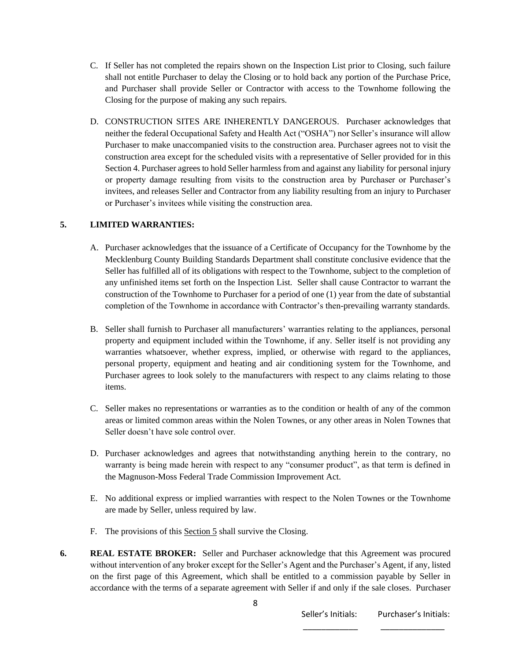- C. If Seller has not completed the repairs shown on the Inspection List prior to Closing, such failure shall not entitle Purchaser to delay the Closing or to hold back any portion of the Purchase Price, and Purchaser shall provide Seller or Contractor with access to the Townhome following the Closing for the purpose of making any such repairs.
- D. CONSTRUCTION SITES ARE INHERENTLY DANGEROUS. Purchaser acknowledges that neither the federal Occupational Safety and Health Act ("OSHA") nor Seller's insurance will allow Purchaser to make unaccompanied visits to the construction area. Purchaser agrees not to visit the construction area except for the scheduled visits with a representative of Seller provided for in this Section 4. Purchaser agrees to hold Seller harmless from and against any liability for personal injury or property damage resulting from visits to the construction area by Purchaser or Purchaser's invitees, and releases Seller and Contractor from any liability resulting from an injury to Purchaser or Purchaser's invitees while visiting the construction area.

#### **5. LIMITED WARRANTIES:**

- A. Purchaser acknowledges that the issuance of a Certificate of Occupancy for the Townhome by the Mecklenburg County Building Standards Department shall constitute conclusive evidence that the Seller has fulfilled all of its obligations with respect to the Townhome, subject to the completion of any unfinished items set forth on the Inspection List. Seller shall cause Contractor to warrant the construction of the Townhome to Purchaser for a period of one (1) year from the date of substantial completion of the Townhome in accordance with Contractor's then-prevailing warranty standards.
- B. Seller shall furnish to Purchaser all manufacturers' warranties relating to the appliances, personal property and equipment included within the Townhome, if any. Seller itself is not providing any warranties whatsoever, whether express, implied, or otherwise with regard to the appliances, personal property, equipment and heating and air conditioning system for the Townhome, and Purchaser agrees to look solely to the manufacturers with respect to any claims relating to those items.
- C. Seller makes no representations or warranties as to the condition or health of any of the common areas or limited common areas within the Nolen Townes, or any other areas in Nolen Townes that Seller doesn't have sole control over.
- D. Purchaser acknowledges and agrees that notwithstanding anything herein to the contrary, no warranty is being made herein with respect to any "consumer product", as that term is defined in the Magnuson-Moss Federal Trade Commission Improvement Act.
- E. No additional express or implied warranties with respect to the Nolen Townes or the Townhome are made by Seller, unless required by law.
- F. The provisions of this Section 5 shall survive the Closing.
- **6. REAL ESTATE BROKER:** Seller and Purchaser acknowledge that this Agreement was procured without intervention of any broker except for the Seller's Agent and the Purchaser's Agent, if any, listed on the first page of this Agreement, which shall be entitled to a commission payable by Seller in accordance with the terms of a separate agreement with Seller if and only if the sale closes. Purchaser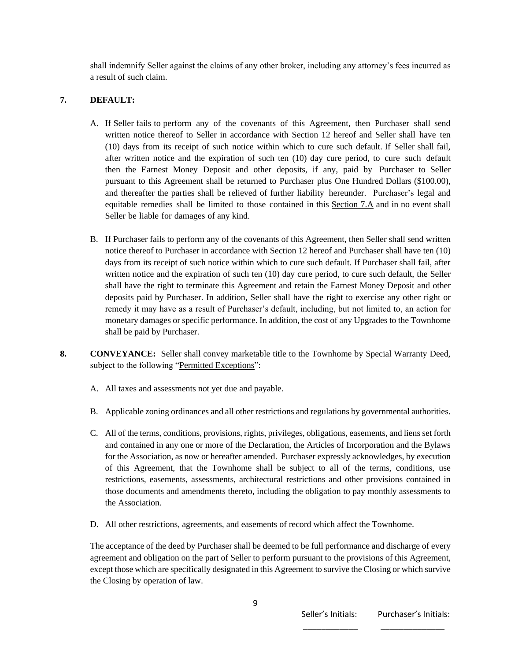shall indemnify Seller against the claims of any other broker, including any attorney's fees incurred as a result of such claim.

#### **7. DEFAULT:**

- A. If Seller fails to perform any of the covenants of this Agreement, then Purchaser shall send written notice thereof to Seller in accordance with Section 12 hereof and Seller shall have ten (10) days from its receipt of such notice within which to cure such default. If Seller shall fail, after written notice and the expiration of such ten (10) day cure period, to cure such default then the Earnest Money Deposit and other deposits, if any, paid by Purchaser to Seller pursuant to this Agreement shall be returned to Purchaser plus One Hundred Dollars (\$100.00), and thereafter the parties shall be relieved of further liability hereunder. Purchaser's legal and equitable remedies shall be limited to those contained in this Section 7.A and in no event shall Seller be liable for damages of any kind.
- B. If Purchaser fails to perform any of the covenants of this Agreement, then Seller shall send written notice thereof to Purchaser in accordance with Section 12 hereof and Purchaser shall have ten (10) days from its receipt of such notice within which to cure such default. If Purchaser shall fail, after written notice and the expiration of such ten (10) day cure period, to cure such default, the Seller shall have the right to terminate this Agreement and retain the Earnest Money Deposit and other deposits paid by Purchaser. In addition, Seller shall have the right to exercise any other right or remedy it may have as a result of Purchaser's default, including, but not limited to, an action for monetary damages or specific performance. In addition, the cost of any Upgrades to the Townhome shall be paid by Purchaser.
- **8. CONVEYANCE:** Seller shall convey marketable title to the Townhome by Special Warranty Deed, subject to the following "Permitted Exceptions":
	- A. All taxes and assessments not yet due and payable.
	- B. Applicable zoning ordinances and all other restrictions and regulations by governmental authorities.
	- C. All of the terms, conditions, provisions, rights, privileges, obligations, easements, and liens set forth and contained in any one or more of the Declaration, the Articles of Incorporation and the Bylaws for the Association, as now or hereafter amended. Purchaser expressly acknowledges, by execution of this Agreement, that the Townhome shall be subject to all of the terms, conditions, use restrictions, easements, assessments, architectural restrictions and other provisions contained in those documents and amendments thereto, including the obligation to pay monthly assessments to the Association.
	- D. All other restrictions, agreements, and easements of record which affect the Townhome.

The acceptance of the deed by Purchaser shall be deemed to be full performance and discharge of every agreement and obligation on the part of Seller to perform pursuant to the provisions of this Agreement, except those which are specifically designated in this Agreement to survive the Closing or which survive the Closing by operation of law.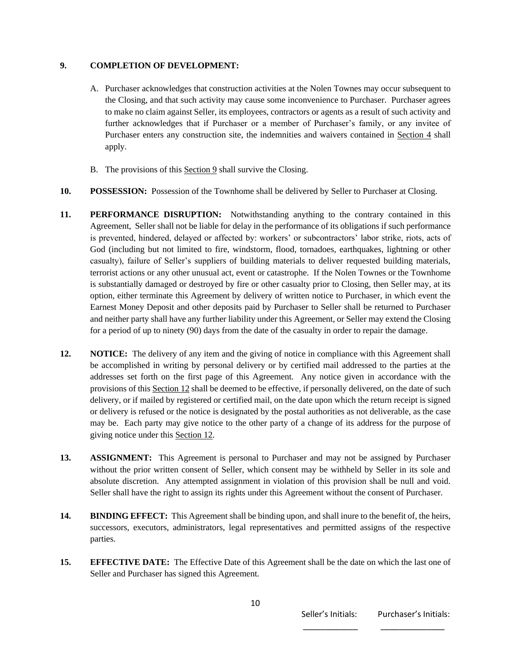#### **9. COMPLETION OF DEVELOPMENT:**

- A. Purchaser acknowledges that construction activities at the Nolen Townes may occur subsequent to the Closing, and that such activity may cause some inconvenience to Purchaser. Purchaser agrees to make no claim against Seller, its employees, contractors or agents as a result of such activity and further acknowledges that if Purchaser or a member of Purchaser's family, or any invitee of Purchaser enters any construction site, the indemnities and waivers contained in Section 4 shall apply.
- B. The provisions of this Section 9 shall survive the Closing.
- **10. POSSESSION:** Possession of the Townhome shall be delivered by Seller to Purchaser at Closing.
- **11. PERFORMANCE DISRUPTION:** Notwithstanding anything to the contrary contained in this Agreement, Seller shall not be liable for delay in the performance of its obligations if such performance is prevented, hindered, delayed or affected by: workers' or subcontractors' labor strike, riots, acts of God (including but not limited to fire, windstorm, flood, tornadoes, earthquakes, lightning or other casualty), failure of Seller's suppliers of building materials to deliver requested building materials, terrorist actions or any other unusual act, event or catastrophe. If the Nolen Townes or the Townhome is substantially damaged or destroyed by fire or other casualty prior to Closing, then Seller may, at its option, either terminate this Agreement by delivery of written notice to Purchaser, in which event the Earnest Money Deposit and other deposits paid by Purchaser to Seller shall be returned to Purchaser and neither party shall have any further liability under this Agreement, or Seller may extend the Closing for a period of up to ninety (90) days from the date of the casualty in order to repair the damage.
- **12. NOTICE:** The delivery of any item and the giving of notice in compliance with this Agreement shall be accomplished in writing by personal delivery or by certified mail addressed to the parties at the addresses set forth on the first page of this Agreement. Any notice given in accordance with the provisions of this Section 12 shall be deemed to be effective, if personally delivered, on the date of such delivery, or if mailed by registered or certified mail, on the date upon which the return receipt is signed or delivery is refused or the notice is designated by the postal authorities as not deliverable, as the case may be. Each party may give notice to the other party of a change of its address for the purpose of giving notice under this Section 12.
- **13. ASSIGNMENT:** This Agreement is personal to Purchaser and may not be assigned by Purchaser without the prior written consent of Seller, which consent may be withheld by Seller in its sole and absolute discretion. Any attempted assignment in violation of this provision shall be null and void. Seller shall have the right to assign its rights under this Agreement without the consent of Purchaser.
- **14. BINDING EFFECT:** This Agreement shall be binding upon, and shall inure to the benefit of, the heirs, successors, executors, administrators, legal representatives and permitted assigns of the respective parties.
- **15. EFFECTIVE DATE:** The Effective Date of this Agreement shall be the date on which the last one of Seller and Purchaser has signed this Agreement.

 $\overline{\phantom{a}}$  , and the contract of the contract of the contract of the contract of the contract of the contract of the contract of the contract of the contract of the contract of the contract of the contract of the contrac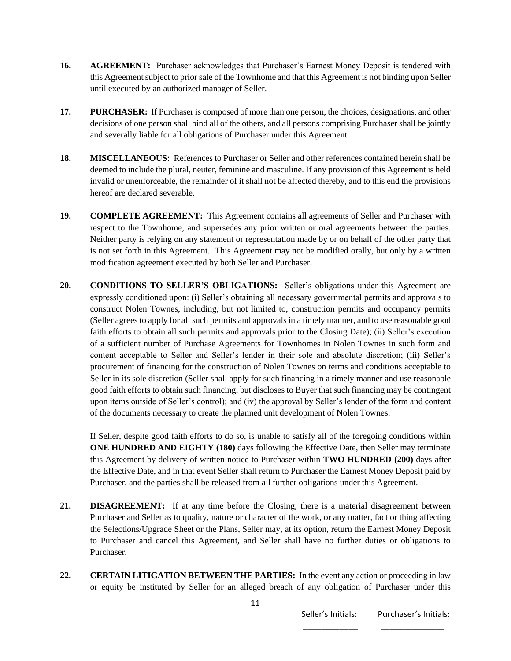- **16. AGREEMENT:** Purchaser acknowledges that Purchaser's Earnest Money Deposit is tendered with this Agreement subject to prior sale of the Townhome and that this Agreement is not binding upon Seller until executed by an authorized manager of Seller.
- **17. PURCHASER:** If Purchaser is composed of more than one person, the choices, designations, and other decisions of one person shall bind all of the others, and all persons comprising Purchaser shall be jointly and severally liable for all obligations of Purchaser under this Agreement.
- **18. MISCELLANEOUS:** References to Purchaser or Seller and other references contained herein shall be deemed to include the plural, neuter, feminine and masculine. If any provision of this Agreement is held invalid or unenforceable, the remainder of it shall not be affected thereby, and to this end the provisions hereof are declared severable.
- **19. COMPLETE AGREEMENT:** This Agreement contains all agreements of Seller and Purchaser with respect to the Townhome, and supersedes any prior written or oral agreements between the parties. Neither party is relying on any statement or representation made by or on behalf of the other party that is not set forth in this Agreement. This Agreement may not be modified orally, but only by a written modification agreement executed by both Seller and Purchaser.
- **20. CONDITIONS TO SELLER'S OBLIGATIONS:** Seller's obligations under this Agreement are expressly conditioned upon: (i) Seller's obtaining all necessary governmental permits and approvals to construct Nolen Townes, including, but not limited to, construction permits and occupancy permits (Seller agrees to apply for all such permits and approvals in a timely manner, and to use reasonable good faith efforts to obtain all such permits and approvals prior to the Closing Date); (ii) Seller's execution of a sufficient number of Purchase Agreements for Townhomes in Nolen Townes in such form and content acceptable to Seller and Seller's lender in their sole and absolute discretion; (iii) Seller's procurement of financing for the construction of Nolen Townes on terms and conditions acceptable to Seller in its sole discretion (Seller shall apply for such financing in a timely manner and use reasonable good faith efforts to obtain such financing, but discloses to Buyer that such financing may be contingent upon items outside of Seller's control); and (iv) the approval by Seller's lender of the form and content of the documents necessary to create the planned unit development of Nolen Townes.

If Seller, despite good faith efforts to do so, is unable to satisfy all of the foregoing conditions within **ONE HUNDRED AND EIGHTY (180)** days following the Effective Date, then Seller may terminate this Agreement by delivery of written notice to Purchaser within **TWO HUNDRED (200)** days after the Effective Date, and in that event Seller shall return to Purchaser the Earnest Money Deposit paid by Purchaser, and the parties shall be released from all further obligations under this Agreement.

- **21. DISAGREEMENT:** If at any time before the Closing, there is a material disagreement between Purchaser and Seller as to quality, nature or character of the work, or any matter, fact or thing affecting the Selections/Upgrade Sheet or the Plans, Seller may, at its option, return the Earnest Money Deposit to Purchaser and cancel this Agreement, and Seller shall have no further duties or obligations to Purchaser.
- **22. CERTAIN LITIGATION BETWEEN THE PARTIES:** In the event any action or proceeding in law or equity be instituted by Seller for an alleged breach of any obligation of Purchaser under this

 $\overline{\phantom{a}}$  , and the contract of the contract of the contract of the contract of the contract of the contract of the contract of the contract of the contract of the contract of the contract of the contract of the contrac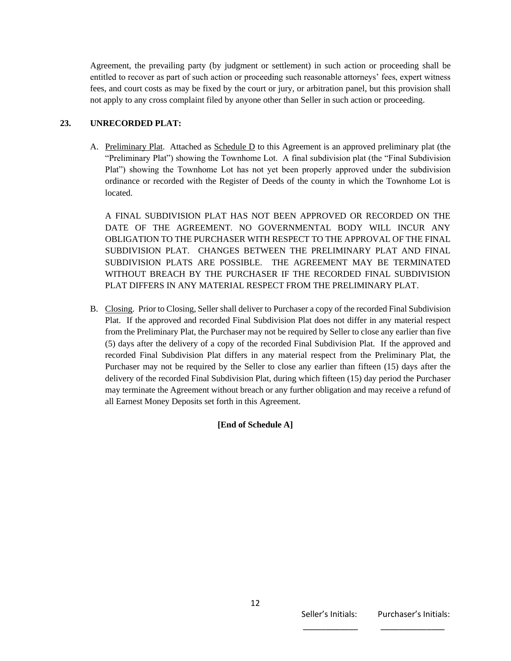Agreement, the prevailing party (by judgment or settlement) in such action or proceeding shall be entitled to recover as part of such action or proceeding such reasonable attorneys' fees, expert witness fees, and court costs as may be fixed by the court or jury, or arbitration panel, but this provision shall not apply to any cross complaint filed by anyone other than Seller in such action or proceeding.

#### **23. UNRECORDED PLAT:**

A. Preliminary Plat. Attached as Schedule D to this Agreement is an approved preliminary plat (the "Preliminary Plat") showing the Townhome Lot. A final subdivision plat (the "Final Subdivision Plat") showing the Townhome Lot has not yet been properly approved under the subdivision ordinance or recorded with the Register of Deeds of the county in which the Townhome Lot is located.

A FINAL SUBDIVISION PLAT HAS NOT BEEN APPROVED OR RECORDED ON THE DATE OF THE AGREEMENT. NO GOVERNMENTAL BODY WILL INCUR ANY OBLIGATION TO THE PURCHASER WITH RESPECT TO THE APPROVAL OF THE FINAL SUBDIVISION PLAT. CHANGES BETWEEN THE PRELIMINARY PLAT AND FINAL SUBDIVISION PLATS ARE POSSIBLE. THE AGREEMENT MAY BE TERMINATED WITHOUT BREACH BY THE PURCHASER IF THE RECORDED FINAL SUBDIVISION PLAT DIFFERS IN ANY MATERIAL RESPECT FROM THE PRELIMINARY PLAT.

B. Closing. Prior to Closing, Seller shall deliver to Purchaser a copy of the recorded Final Subdivision Plat. If the approved and recorded Final Subdivision Plat does not differ in any material respect from the Preliminary Plat, the Purchaser may not be required by Seller to close any earlier than five (5) days after the delivery of a copy of the recorded Final Subdivision Plat. If the approved and recorded Final Subdivision Plat differs in any material respect from the Preliminary Plat, the Purchaser may not be required by the Seller to close any earlier than fifteen (15) days after the delivery of the recorded Final Subdivision Plat, during which fifteen (15) day period the Purchaser may terminate the Agreement without breach or any further obligation and may receive a refund of all Earnest Money Deposits set forth in this Agreement.

**[End of Schedule A]**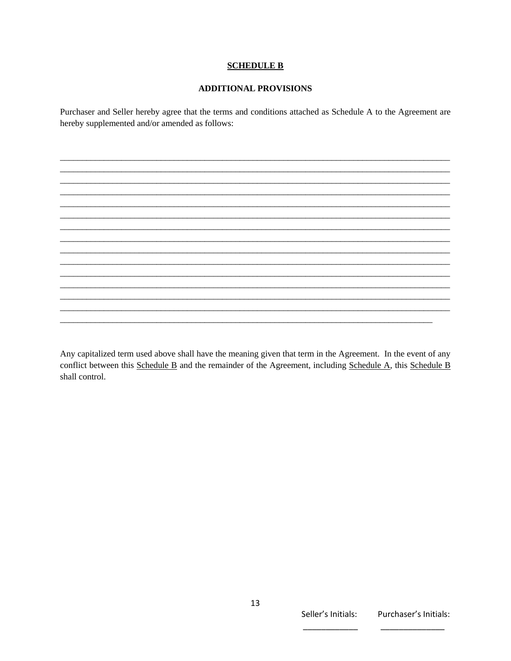#### **SCHEDULE B**

#### **ADDITIONAL PROVISIONS**

Purchaser and Seller hereby agree that the terms and conditions attached as Schedule A to the Agreement are hereby supplemented and/or amended as follows:

Any capitalized term used above shall have the meaning given that term in the Agreement. In the event of any

conflict between this Schedule B and the remainder of the Agreement, including Schedule A, this Schedule B shall control.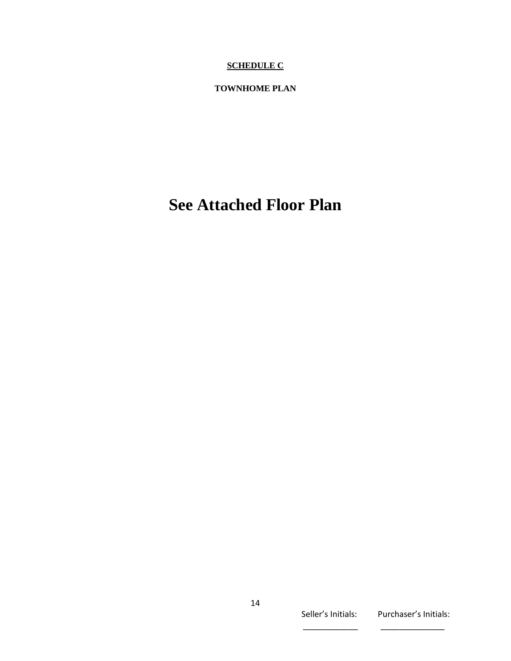# **SCHEDULE C**

## **TOWNHOME PLAN**

# **See Attached Floor Plan**